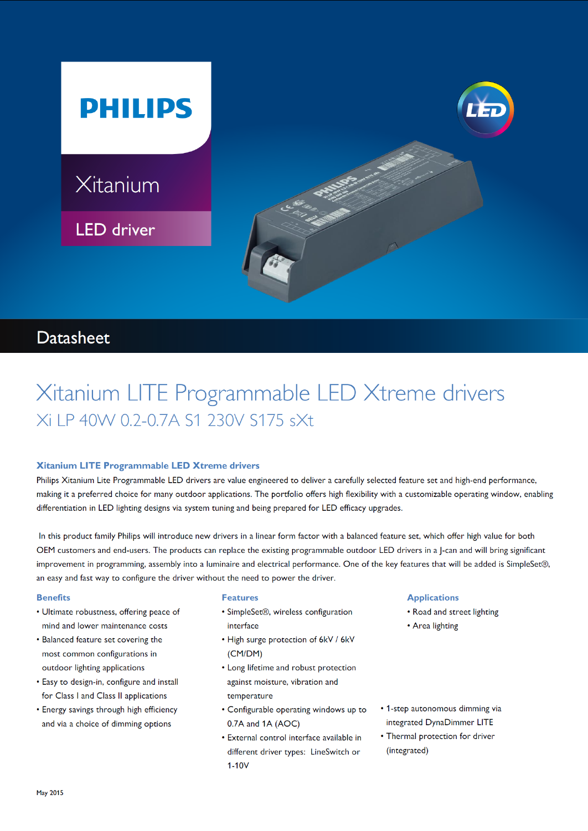

# **Datasheet**

# Xitanium LITE Programmable LED Xtreme drivers Xi LP 40W 0.2-0.7A S1 230V S175 sXt

# Xitanium LITE Programmable LED Xtreme drivers

Philips Xitanium Lite Programmable LED drivers are value engineered to deliver a carefully selected feature set and high-end performance, making it a preferred choice for many outdoor applications. The portfolio offers high flexibility with a customizable operating window, enabling differentiation in LED lighting designs via system tuning and being prepared for LED efficacy upgrades.

In this product family Philips will introduce new drivers in a linear form factor with a balanced feature set, which offer high value for both OEM customers and end-users. The products can replace the existing programmable outdoor LED drivers in a J-can and will bring significant improvement in programming, assembly into a luminaire and electrical performance. One of the key features that will be added is SimpleSet®, an easy and fast way to configure the driver without the need to power the driver.

#### **Benefits**

- Ultimate robustness, offering peace of mind and lower maintenance costs
- Balanced feature set covering the most common configurations in outdoor lighting applications
- Easy to design-in, configure and install for Class I and Class II applications
- Energy savings through high efficiency and via a choice of dimming options

#### **Features**

- SimpleSet®, wireless configuration interface
- High surge protection of 6kV / 6kV (CM/DM)
- Long lifetime and robust protection against moisture, vibration and temperature
- Configurable operating windows up to 0.7A and 1A (AOC)
- · External control interface available in different driver types: LineSwitch or  $1-10V$

#### **Applications**

- Road and street lighting
- Area lighting
- 1-step autonomous dimming via integrated DynaDimmer LITE
- Thermal protection for driver (integrated)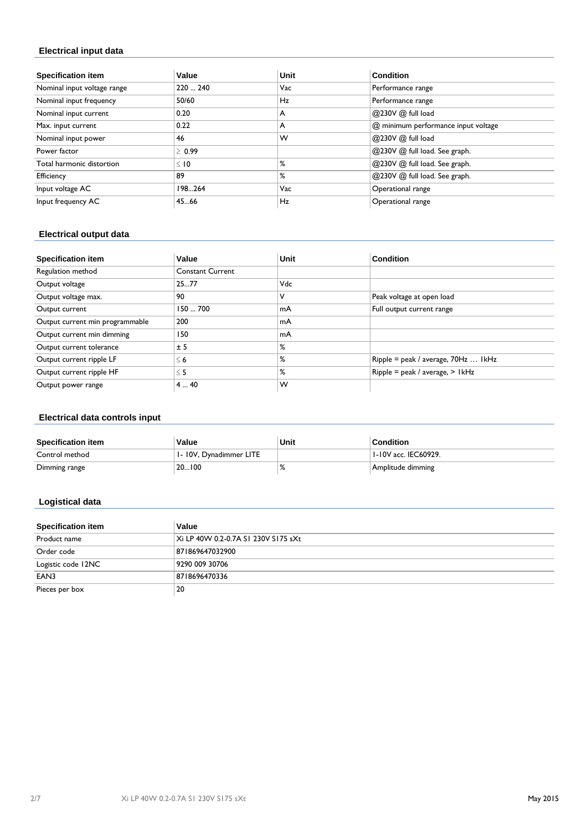# **Electrical input data**

| <b>Specification item</b>   | Value       | Unit | <b>Condition</b>                    |
|-----------------------------|-------------|------|-------------------------------------|
| Nominal input voltage range | 220  240    | Vac  | Performance range                   |
| Nominal input frequency     | 50/60       | Hz   | Performance range                   |
| Nominal input current       | 0.20        | A    | @230V @ full load                   |
| Max. input current          | 0.22        | A    | @ minimum performance input voltage |
| Nominal input power         | 46          | w    | @230V @ full load                   |
| Power factor                | $\geq 0.99$ |      | @230V @ full load. See graph.       |
| Total harmonic distortion   | $\leq$ 10   | ℅    | @230V @ full load. See graph.       |
| Efficiency                  | 89          | %    | @230V @ full load. See graph.       |
| Input voltage AC            | 198264      | Vac  | Operational range                   |
| Input frequency AC          | 45.66       | Hz   | Operational range                   |

# **Electrical output data**

| <b>Specification item</b>       | Value                   | Unit       | <b>Condition</b>                    |
|---------------------------------|-------------------------|------------|-------------------------------------|
| Regulation method               | <b>Constant Current</b> |            |                                     |
| Output voltage                  | 2577                    | <b>Vdc</b> |                                     |
| Output voltage max.             | ' 90                    | ν          | Peak voltage at open load           |
| Output current                  | 150700                  | mA         | Full output current range           |
| Output current min programmable | 200                     | mA         |                                     |
| Output current min dimming      | 150                     | mA         |                                     |
| Output current tolerance        | ± 5                     | %          |                                     |
| Output current ripple LF        | $\leq 6$                | %          | Ripple = peak / average, 70Hz  IkHz |
| Output current ripple HF        | $\leq$ 5                | ℅          | $Ripple = peak / average, > IkHz$   |
| Output power range              | 440                     | w          |                                     |

# **Electrical data controls input**

| <b>Specification item</b> | Value                  | Unit | <b>Condition</b>     |
|---------------------------|------------------------|------|----------------------|
| Control method            | 1-10V, Dynadimmer LITE |      | 1-10V acc. IEC60929. |
| Dimming range             | 20100                  |      | Amplitude dimming    |

### **Logistical data**

| <b>Specification item</b> | Value                               |
|---------------------------|-------------------------------------|
| Product name              | Xi LP 40W 0.2-0.7A SI 230V SI75 sXt |
| Order code                | 871869647032900                     |
| Logistic code 12NC        | 9290 009 30706                      |
| EAN3                      | 8718696470336                       |
| Pieces per box            | 20                                  |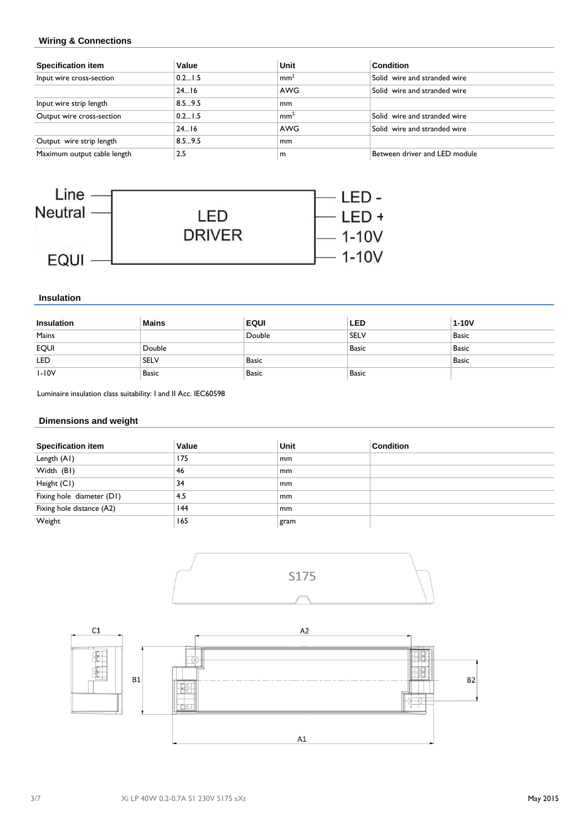## **Wiring & Connections**

| <b>Specification item</b>   | Value  | Unit            | <b>Condition</b>              |
|-----------------------------|--------|-----------------|-------------------------------|
| Input wire cross-section    | 0.21.5 | mm <sup>2</sup> | Solid wire and stranded wire  |
|                             | 2416   | <b>AWG</b>      | Solid wire and stranded wire  |
| Input wire strip length     | 8.59.5 | mm              |                               |
| Output wire cross-section   | 0.21.5 | mm <sup>2</sup> | Solid wire and stranded wire  |
|                             | 2416   | AWG             | Solid wire and stranded wire  |
| Output wire strip length    | 8.59.5 | mm              |                               |
| Maximum output cable length | 2.5    | m               | Between driver and LED module |



#### **Insulation**

| Insulation  | <b>Mains</b> | <b>EQUI</b>  | <b>LED</b>   | $1-10V$      |
|-------------|--------------|--------------|--------------|--------------|
| Mains       |              | Double       | <b>SELV</b>  | Basic        |
| <b>EQUI</b> | Double       |              | Basic        | <b>Basic</b> |
| LED         | <b>SELV</b>  | <b>Basic</b> |              | <b>Basic</b> |
| $I-IOV$     | <b>Basic</b> | <b>Basic</b> | <b>Basic</b> |              |

Luminaire insulation class suitability: I and II Acc. IEC60598

### **Dimensions and weight**

| <b>Specification item</b> | Value | Unit | <b>Condition</b> |
|---------------------------|-------|------|------------------|
| Length (A1)               | 175   | mm   |                  |
| Width (BI)                | 46    | mm   |                  |
| Height (CI)               | 34    | mm   |                  |
| Fixing hole diameter (D1) | 4.5   | mm   |                  |
| Fixing hole distance (A2) | 144   | mm   |                  |
| Weight                    | 165   | gram |                  |



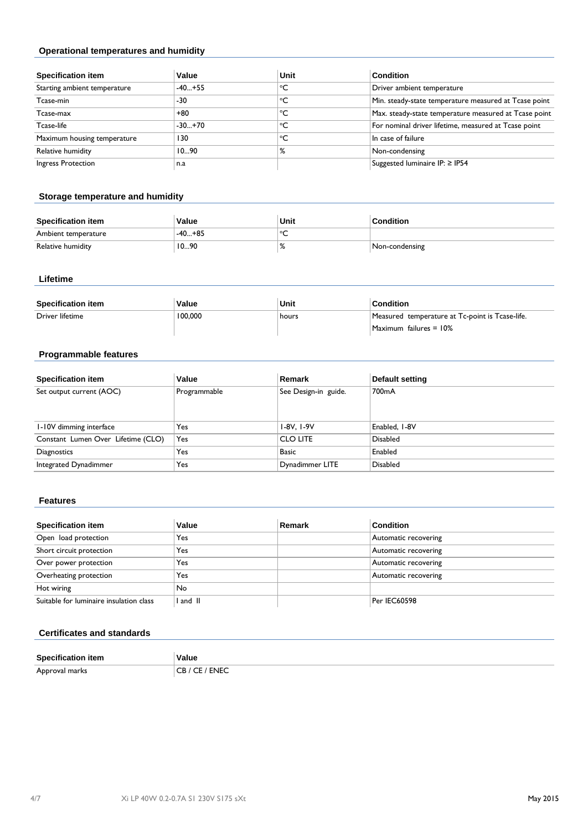## **Operational temperatures and humidity**

| <b>Specification item</b>    | Value    | Unit | <b>Condition</b>                                      |
|------------------------------|----------|------|-------------------------------------------------------|
| Starting ambient temperature | $-40+55$ | °C   | Driver ambient temperature                            |
| Tcase-min                    | -30      | °C   | Min. steady-state temperature measured at Tcase point |
| Tcase-max                    | +80      | °C   | Max. steady-state temperature measured at Tcase point |
| Tcase-life                   | $-30+70$ | °C   | For nominal driver lifetime, measured at Tcase point  |
| Maximum housing temperature  | 130      | °C   | In case of failure                                    |
| Relative humidity            | 1090     | %    | Non-condensing                                        |
| Ingress Protection           | n.a      |      | Suggested luminaire IP: ≥ IP54                        |

### **Storage temperature and humidity**

| <b>Specification item</b> | Value    | Unit    | <b>Condition</b> |
|---------------------------|----------|---------|------------------|
| Ambient temperature       | $-40+85$ | ∘∼<br>∼ |                  |
| Relative humidity         | 1090     | 70      | Non-condensing   |

### **Lifetime**

| <b>Specification item</b> | Value   | Unit  | <b>Condition</b>                                |
|---------------------------|---------|-------|-------------------------------------------------|
| Driver lifetime           | 100,000 | hours | Measured temperature at Tc-point is Tcase-life. |
|                           |         |       | Maximum failures = 10%                          |

# **Programmable features**

| <b>Specification item</b>          | Value        | Remark               | Default setting |
|------------------------------------|--------------|----------------------|-----------------|
| Set output current (AOC)           | Programmable | See Design-in guide. | 700mA           |
|                                    |              |                      |                 |
| 1-10V dimming interface            | Yes          | I-8V, I-9V           | Enabled, I-8V   |
| Constant Lumen Over Lifetime (CLO) | Yes          | <b>CLO LITE</b>      | <b>Disabled</b> |
| Diagnostics                        | Yes          | <b>Basic</b>         | Enabled         |
| Integrated Dynadimmer              | Yes          | Dynadimmer LITE      | <b>Disabled</b> |

#### **Features**

| <b>Specification item</b>               | Value  | Remark | <b>Condition</b>     |
|-----------------------------------------|--------|--------|----------------------|
| Open load protection                    | Yes    |        | Automatic recovering |
| Short circuit protection                | Yes    |        | Automatic recovering |
| Over power protection                   | Yes    |        | Automatic recovering |
| Overheating protection                  | Yes    |        | Automatic recovering |
| Hot wiring                              | No     |        |                      |
| Suitable for luminaire insulation class | and II |        | Per IEC60598         |

# **Certificates and standards**

| <b>Specificatic</b> | Value                      |
|---------------------|----------------------------|
| Approval marks      | <b>FNEC</b><br>ັ<br>$\sim$ |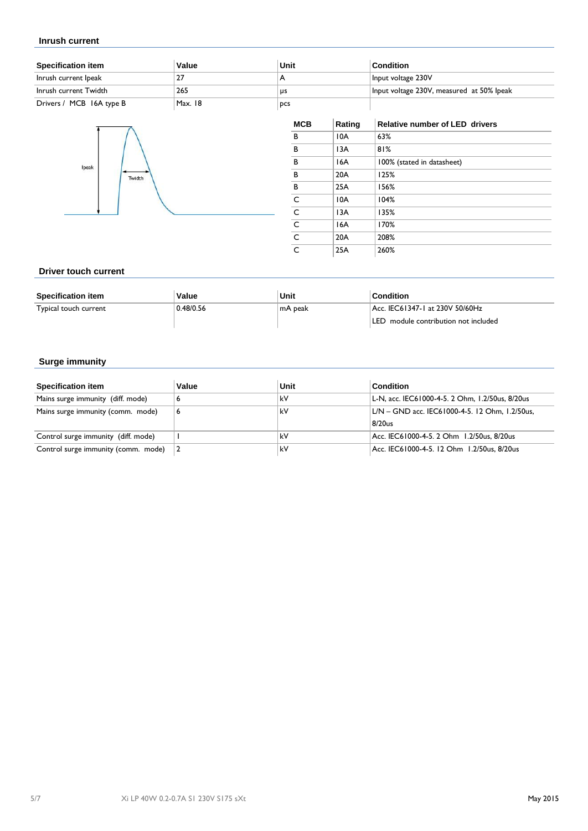#### **Inrush current**

| <b>Specification item</b> | Value   | Unit       | <b>Condition</b>                          |
|---------------------------|---------|------------|-------------------------------------------|
| Inrush current Ipeak      |         |            | Input voltage 230V                        |
| Inrush current Twidth     | 265     | us         | Input voltage 230V, measured at 50% lpeak |
| Drivers / MCB 16A type B  | Max. 18 | <b>DCS</b> |                                           |



| <b>MCB</b>                  | Rating | Relative number of LED drivers |
|-----------------------------|--------|--------------------------------|
| в                           | 10A    | 63%                            |
| В                           | 13A    | 81%                            |
| B                           | 16A    | 100% (stated in datasheet)     |
| B                           | 20A    | 125%                           |
| В                           | 25A    | 156%                           |
|                             | 10A    | 104%                           |
|                             | 13A    | 135%                           |
|                             | 16A    | 170%                           |
| $\frac{c}{c}$ $\frac{c}{c}$ | 20A    | 208%                           |
|                             | 25A    | 260%                           |

#### **Driver touch current**

| <b>Specification item</b> | Value     | Unit     | Condition                            |
|---------------------------|-----------|----------|--------------------------------------|
| Typical touch current     | 0.48/0.56 | ∣mA peak | Acc. IEC61347-1 at 230V 50/60Hz      |
|                           |           |          | LED module contribution not included |

### **Surge immunity**

| <b>Specification item</b>           | Value | Unit | <b>Condition</b>                                |
|-------------------------------------|-------|------|-------------------------------------------------|
| Mains surge immunity (diff. mode)   | ь     | kV   | L-N, acc. IEC61000-4-5. 2 Ohm, 1.2/50us, 8/20us |
| Mains surge immunity (comm. mode)   | 16    | kV   | L/N - GND acc. IEC61000-4-5. 12 Ohm, 1.2/50us,  |
|                                     |       |      | 8/20us                                          |
| Control surge immunity (diff. mode) |       | kV   | Acc. IEC61000-4-5. 2 Ohm 1.2/50us, 8/20us       |
| Control surge immunity (comm. mode) |       | kV   | Acc. IEC61000-4-5. 12 Ohm 1.2/50us, 8/20us      |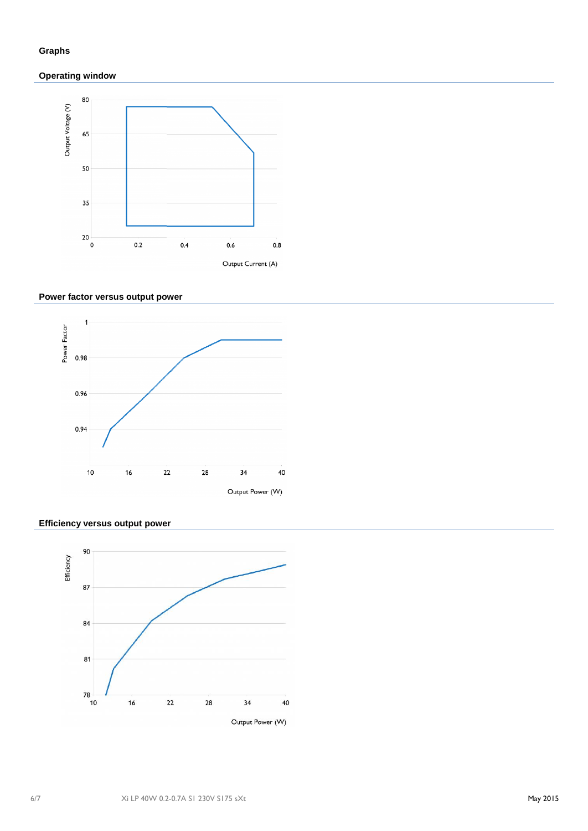# **Graphs**

# **Operating window**



# **Power factor versus output power**



### **Efficiency versus output power**